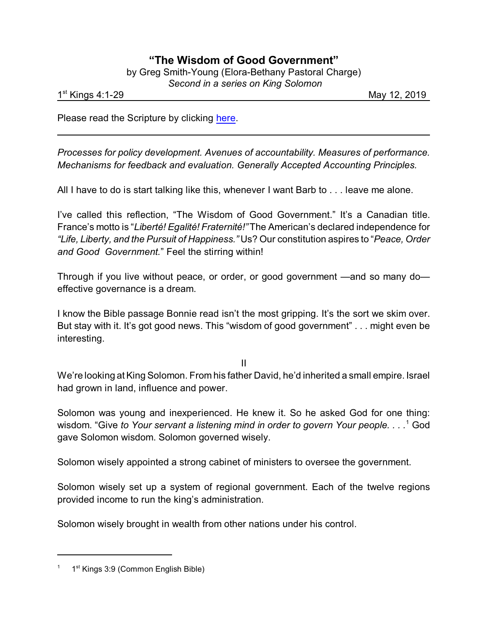## **"The Wisdom of Good Government"**

|  | by Greg Smith-Young (Elora-Bethany Pastoral Charge) |  |
|--|-----------------------------------------------------|--|
|  | Second in a series on King Solomon                  |  |

1 st

May 12, 2019

Please read the Scripture by clicking [here](https://www.biblegateway.com/passage/?search=1+Kings+2%3A1-4%2C10-12%3B+3%3A5-15&version=NRSV).

*Processes for policy development. Avenues of accountability. Measures of performance. Mechanisms for feedback and evaluation. Generally Accepted Accounting Principles.*

All I have to do is start talking like this, whenever I want Barb to . . . leave me alone.

I've called this reflection, "The Wisdom of Good Government." It's a Canadian title. France's motto is "*Liberté! Egalité! Fraternité!"* The American's declared independence for *"Life, Liberty, and the Pursuit of Happiness."* Us? Our constitution aspires to "*Peace, Order and Good Government.*" Feel the stirring within!

Through if you live without peace, or order, or good government —and so many do effective governance is a dream.

I know the Bible passage Bonnie read isn't the most gripping. It's the sort we skim over. But stay with it. It's got good news. This "wisdom of good government" . . . might even be interesting.

II

We're looking at King Solomon. From his father David, he'd inherited a small empire. Israel had grown in land, influence and power.

Solomon was young and inexperienced. He knew it. So he asked God for one thing: wisdom. "Give *to Your servant a listening mind in order to govern Your people. . . .*<sup>1</sup> God gave Solomon wisdom. Solomon governed wisely.

Solomon wisely appointed a strong cabinet of ministers to oversee the government.

Solomon wisely set up a system of regional government. Each of the twelve regions provided income to run the king's administration.

Solomon wisely brought in wealth from other nations under his control.

<sup>&</sup>lt;sup>1</sup> 1<sup>st</sup> Kings 3:9 (Common English Bible)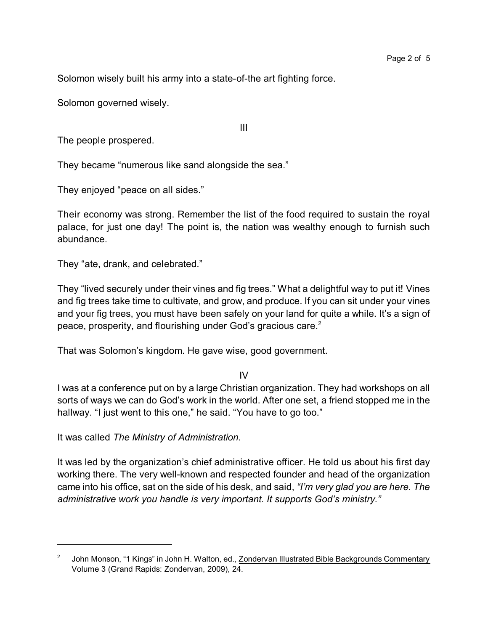Solomon wisely built his army into a state-of-the art fighting force.

Solomon governed wisely.

The people prospered.

They became "numerous like sand alongside the sea."

They enjoyed "peace on all sides."

Their economy was strong. Remember the list of the food required to sustain the royal palace, for just one day! The point is, the nation was wealthy enough to furnish such abundance.

III

They "ate, drank, and celebrated."

They "lived securely under their vines and fig trees." What a delightful way to put it! Vines and fig trees take time to cultivate, and grow, and produce. If you can sit under your vines and your fig trees, you must have been safely on your land for quite a while. It's a sign of peace, prosperity, and flourishing under God's gracious care.<sup>2</sup>

That was Solomon's kingdom. He gave wise, good government.

IV

I was at a conference put on by a large Christian organization. They had workshops on all sorts of ways we can do God's work in the world. After one set, a friend stopped me in the hallway. "I just went to this one," he said. "You have to go too."

It was called *The Ministry of Administration.*

It was led by the organization's chief administrative officer. He told us about his first day working there. The very well-known and respected founder and head of the organization came into his office, sat on the side of his desk, and said, *"I'm very glad you are here. The administrative work you handle is very important. It supports God's ministry."*

<sup>2</sup> John Monson, "1 Kings" in John H. Walton, ed., Zondervan Illustrated Bible Backgrounds Commentary Volume 3 (Grand Rapids: Zondervan, 2009), 24.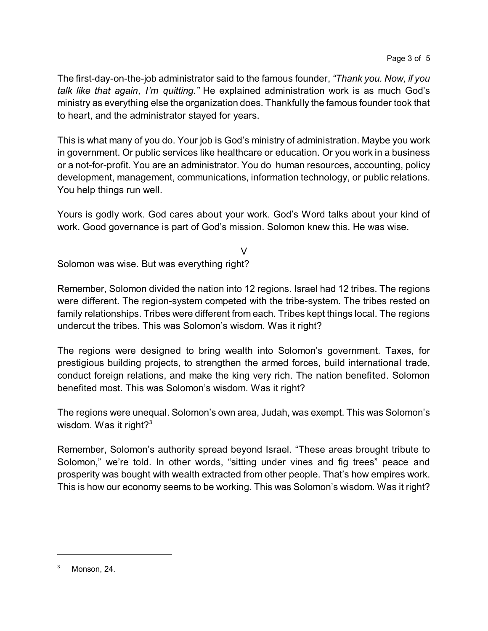The first-day-on-the-job administrator said to the famous founder, *"Thank you. Now, if you talk like that again, I'm quitting."* He explained administration work is as much God's ministry as everything else the organization does. Thankfully the famous founder took that to heart, and the administrator stayed for years.

This is what many of you do. Your job is God's ministry of administration. Maybe you work in government. Or public services like healthcare or education. Or you work in a business or a not-for-profit. You are an administrator. You do human resources, accounting, policy development, management, communications, information technology, or public relations. You help things run well.

Yours is godly work. God cares about your work. God's Word talks about your kind of work. Good governance is part of God's mission. Solomon knew this. He was wise.

V

Solomon was wise. But was everything right?

Remember, Solomon divided the nation into 12 regions. Israel had 12 tribes. The regions were different. The region-system competed with the tribe-system. The tribes rested on family relationships. Tribes were different from each. Tribes kept things local. The regions undercut the tribes. This was Solomon's wisdom. Was it right?

The regions were designed to bring wealth into Solomon's government. Taxes, for prestigious building projects, to strengthen the armed forces, build international trade, conduct foreign relations, and make the king very rich. The nation benefited. Solomon benefited most. This was Solomon's wisdom. Was it right?

The regions were unequal. Solomon's own area, Judah, was exempt. This was Solomon's wisdom. Was it right? $3$ 

Remember, Solomon's authority spread beyond Israel. "These areas brought tribute to Solomon," we're told. In other words, "sitting under vines and fig trees" peace and prosperity was bought with wealth extracted from other people. That's how empires work. This is how our economy seems to be working. This was Solomon's wisdom. Was it right?

 $3$  Monson, 24.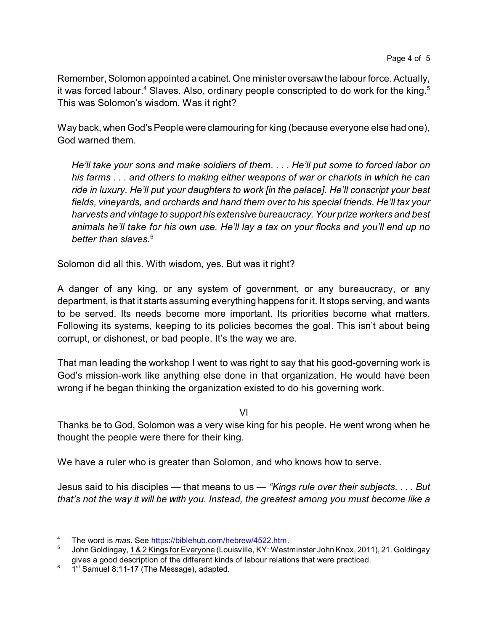Remember, Solomon appointed a cabinet. One minister oversawthe labour force. Actually, it was forced labour. $^4$  Slaves. Also, ordinary people conscripted to do work for the king. $^5$ This was Solomon's wisdom. Was it right?

Way back, when God's People were clamouring for king (because everyone else had one), God warned them.

*He'll take your sons and make soldiers of them. . . . He'll put some to forced labor on his farms . . . and others to making either weapons of war or chariots in which he can ride in luxury. He'll put your daughters to work [in the palace]. He'll conscript your best fields, vineyards, and orchards and hand them over to his special friends. He'll tax your harvests and vintage to support his extensive bureaucracy. Your prize workers and best animals he'll take for his own use. He'll lay a tax on your flocks and you'll end up no better than slaves.*<sup>6</sup>

Solomon did all this. With wisdom, yes. But was it right?

A danger of any king, or any system of government, or any bureaucracy, or any department, is that it starts assuming everything happens for it. It stops serving, and wants to be served. Its needs become more important. Its priorities become what matters. Following its systems, keeping to its policies becomes the goal. This isn't about being corrupt, or dishonest, or bad people. It's the way we are.

That man leading the workshop I went to was right to say that his good-governing work is God's mission-work like anything else done in that organization. He would have been wrong if he began thinking the organization existed to do his governing work.

VI

Thanks be to God, Solomon was a very wise king for his people. He went wrong when he thought the people were there for their king.

We have a ruler who is greater than Solomon, and who knows how to serve.

Jesus said to his disciples — that means to us — *"Kings rule over their subjects. . . . But that's not the way it will be with you. Instead, the greatest among you must become like a*

<sup>4</sup> The word is *mas*. See<https://biblehub.com/hebrew/4522.htm>.

<sup>5</sup> John Goldingay, 1 & 2 Kings for Everyone (Louisville, KY: Westminster John Knox, 2011), 21. Goldingay gives a good description of the different kinds of labour relations that were practiced.

 $6$  1st Samuel 8:11-17 (The Message), adapted.